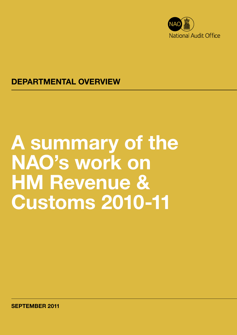

# DEPARTMENTAL OVERVIEW

# A summary of the NAO's work on HM Revenue & Customs 2010-11

SEPTEMBER 2011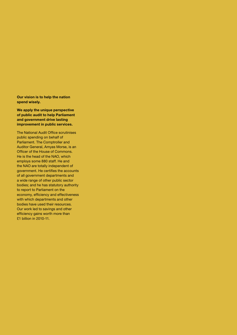Our vision is to help the nation spend wisely.

We apply the unique perspective of public audit to help Parliament and government drive lasting improvement in public services.

The National Audit Office scrutinises public spending on behalf of Parliament. The Comptroller and Auditor General, Amyas Morse, is an Officer of the House of Commons. He is the head of the NAO, which employs some 880 staff. He and the NAO are totally independent of government. He certifies the accounts of all government departments and a wide range of other public sector bodies; and he has statutory authority to report to Parliament on the economy, efficiency and effectiveness with which departments and other bodies have used their resources. Our work led to savings and other efficiency gains worth more than £1 billion in 2010-11.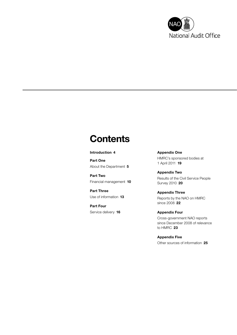

# **Contents**

#### [Introduction](#page-3-0) 4

[Part One](#page-4-0) [About the Department](#page-4-0) 5

[Part Two](#page-9-0)  [Financial management](#page-9-0) 10

[Part Three](#page-12-0) [Use of information](#page-12-0) 13

[Part Four](#page-15-0) [Service delivery](#page-15-0) 16 [Appendix One](#page-18-0) [HMRC's sponsored bodies at](#page-18-0)  [1 April 2011](#page-18-0) 19

[Appendix Two](#page-19-0) [Results of the Civil Service People](#page-19-0)  [Survey 2010](#page-19-0) 20

[Appendix Three](#page-21-0) [Reports by the NAO on HMRC](#page-21-0)  [since 2008](#page-21-0) 22

[Appendix Four](#page-22-0) [Cross-government NAO reports](#page-22-0)  [since December 2008 of relevance](#page-22-0)  [to HMRC](#page-22-0) 23

[Appendix Five](#page-24-0) [Other sources of information](#page-24-0) 25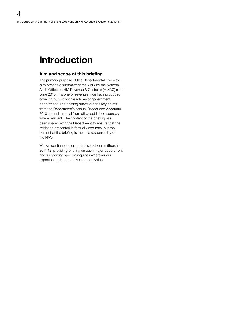# <span id="page-3-0"></span>Introduction

#### Aim and scope of this briefing

The primary purpose of this Departmental Overview is to provide a summary of the work by the National Audit Office on HM Revenue & Customs (HMRC) since June 2010. It is one of seventeen we have produced covering our work on each major government department. The briefing draws out the key points from the Department's Annual Report and Accounts 2010-11 and material from other published sources where relevant. The content of the briefing has been shared with the Department to ensure that the evidence presented is factually accurate, but the content of the briefing is the sole responsibility of the NAO.

We will continue to support all select committees in 2011-12, providing briefing on each major department and supporting specific inquiries wherever our expertise and perspective can add value.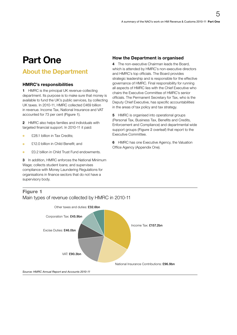# <span id="page-4-0"></span>Part One

# About the Department

### HMRC's responsibilities

1 HMRC is the principal UK revenue-collecting department. Its purpose is to make sure that money is available to fund the UK's public services, by collecting UK taxes. In 2010-11, HMRC collected £469 billion in revenue. Income Tax, National Insurance and VAT accounted for 73 per cent (Figure 1).

2 HMRC also helps families and individuals with targeted financial support. In 2010-11 it paid:

- £28.1 billion in Tax Credits;
- **Canadian E12.0 billion in Child Benefit; and**
- £0.2 billion in Child Trust Fund endowments.

3 In addition, HMRC enforces the National Minimum Wage; collects student loans; and supervises compliance with Money Laundering Regulations for organisations in finance sectors that do not have a supervisory body.

### How the Department is organised

4 The non-executive Chairman leads the Board which is attended by HMRC's non-executive directors and HMRC's top officials. The Board provides strategic leadership and is responsible for the effective governance of HMRC. Final responsibility for running all aspects of HMRC lies with the Chief Executive who chairs the Executive Committee of HMRC's senior officials. The Permanent Secretary for Tax, who is the Deputy Chief Executive, has specific accountabilities in the areas of tax policy and tax strategy.

**5** HMRC is organised into operational groups (Personal Tax, Business Tax, Benefits and Credits, Enforcement and Compliance) and departmental wide support groups (Figure 2 overleaf) that report to the Executive Committee.

**6** HMRC has one Executive Agency, the Valuation Office Agency (Appendix One).

### Figure 1 Main types of revenue collected by HMRC in 2010-11



*Source: HMRC Annual Report and Accounts 2010-11*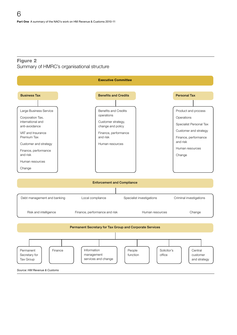### Figure 2 Summary of HMRC's organisational structure

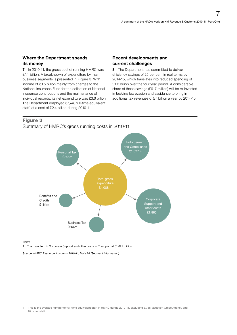#### Where the Department spends its money

7 In 2010-11, the gross cost of running HMRC was £4.1 billion. A break-down of expenditure by main business segments is presented in Figure 3. With income of £0.5 billion mainly from charges to the National Insurance Fund for the collection of National Insurance contributions and the maintenance of individual records, its net expenditure was £3.6 billion. The Department employed 67,748 full-time equivalent staff<sup>1</sup> at a cost of £2.4 billion during 2010-11.

#### Recent developments and current challenges

8 The Department has committed to deliver efficiency savings of 25 per cent in real terms by 2014-15, which translates into reduced spending of £1.6 billion over the four year period. A considerable share of these savings (£917 million) will be re-invested in tackling tax evasion and avoidance to bring in additional tax revenues of £7 billion a year by 2014-15.

### Figure 3

Summary of HMRC's gross running costs in 2010-11



**NOTE** 

1 The main item in Corporate Support and other costs is IT support at £1,021 million.

*Source: HMRC Resource Accounts 2010-11, Note 24 (Segment information)*

<sup>1</sup> This is the average number of full-time equivalent staff in HMRC during 2010-11, excluding 3,758 Valuation Office Agency and 62 other staff.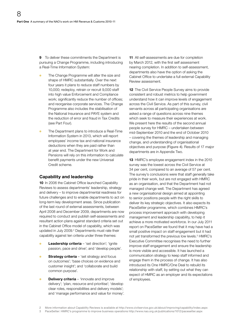**9** To deliver these commitments the Department is pursuing a Change Programme, including introducing a Real-Time Information System:

- The Change Programme will alter the size and shape of HMRC substantially. Over the next four years it plans to reduce staff numbers by 10,000; redeploy, retrain or recruit 9,000 staff into high value Enforcement and Compliance work; significantly reduce the number of offices; and reorganise corporate services. The Change Programme also includes the stabilisation of the National Insurance and PAYE system and the reduction of error and fraud in Tax Credits (see Part Four).
- The Department plans to introduce a Real-Time Information System in 2013, which will report employees' income tax and national insurance deductions when they are paid rather than at year end. The Department for Work and Pensions will rely on this information to calculate benefit payments under the new Universal Credit scheme.

### Capability and leadership

10 In 2006 the Cabinet Office launched Capability Reviews to assess departments' leadership, strategy and delivery – to improve departmental readiness for future challenges and to enable departments to act on long-term key development areas. Since publication of the last round of external assessments, between April 2008 and December 2009, departments are now required to conduct and publish self-assessments and resultant action plans against standard criteria set out in the Cabinet Office model of capability, which was updated in July 2009.<sup>2</sup> Departments must rate their capability against ten criteria under three themes:

- Leadership criteria 'set direction'; 'ignite passion, pace and drive'; and 'develop people'.
- **Strategy criteria** 'set strategy and focus on outcomes'; 'base choices on evidence and customer insight'; and 'collaborate and build common purpose'.
- **Delivery criteria** 'innovate and improve delivery'; 'plan, resource and prioritise'; 'develop clear roles, responsibilities and delivery models'; and 'manage performance and value for money'.

11 All self-assessments are due for completion by March 2012, with the first self assessment nearing completion. In addition to self-assessment, departments also have the option of asking the Cabinet Office to undertake a full external Capability Review assessment.

12 The Civil Service People Survey aims to provide consistent and robust metrics to help government understand how it can improve levels of engagement across the Civil Service. As part of this survey, civil servants across all participating organisations are asked a range of questions across nine themes which seek to measure their experiences at work. We present here the results of the second annual people survey for HMRC – undertaken between mid-September 2010 and the end of October 2010 – covering the themes of leadership and managing change, and understanding of organisational objectives and purpose (Figure 4). Results of 17 major departments are in Appendix Two.

13 HMRC's employee engagement index in the 2010 survey was the lowest across the Civil Service at 34 per cent, compared to an average of 57 per cent. The survey's conclusions were that staff generally take pride in their work, but are not engaged with HMRC as an organisation, and that the Department had not managed change well. The Department has agreed a new organisational design aimed at appointing to senior positions people with the right skills to deliver its key strategic objectives. It also expects its PaceSetter programme, which combines HMRC's process improvement approach with developing management and leadership capability, to help it achieve a more motivated workforce. In our July 2011 report on PaceSetter we found that it may have had a small positive impact on staff engagement but it had not yet transformed the previous low levels.<sup>3</sup> HMRC's Executive Committee recognises the need to further improve staff engagement and ensure the leadership is more visible and accessible. It has launched a communication strategy to keep staff informed and engage them in the process of change. It has also introduced its One HMRC/One Deal to rebuild its relationship with staff, by setting out what they can expect of HMRC as an employer and its expectations of employees.

<sup>2</sup> More information about Capability Reviews is available at http://www.civilservice.gov.uk/about/improving/capability/index.aspx

<sup>3</sup> PaceSetter: HMRC's programme to improve business operations <http://www.nao.org.uk/publications/1012/pacesetter.aspx>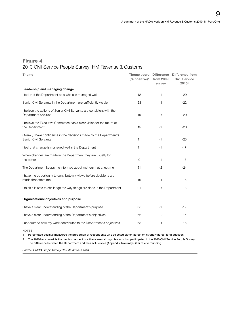### Figure 4

# 2010 Civil Service People Survey: HM Revenue & Customs

| <b>Theme</b>                                                                                  | <b>Theme score</b><br>$(%$ positive) <sup>1</sup> | from 2009<br>survey | Difference Difference from<br><b>Civil Service</b><br>2010 <sup>2</sup> |
|-----------------------------------------------------------------------------------------------|---------------------------------------------------|---------------------|-------------------------------------------------------------------------|
| Leadership and managing change                                                                |                                                   |                     |                                                                         |
| I feel that the Department as a whole is managed well                                         | 12                                                | $-1$                | $-29$                                                                   |
| Senior Civil Servants in the Department are sufficiently visible                              | 23                                                | $+1$                | $-22$                                                                   |
| I believe the actions of Senior Civil Servants are consistent with the<br>Department's values | 19                                                | $\overline{0}$      | -20                                                                     |
| I believe the Executive Committee has a clear vision for the future of<br>the Department      | 15                                                | $-1$                | -20                                                                     |
| Overall, I have confidence in the decisions made by the Department's<br>Senior Civil Servants | 11                                                | $-1$                | $-25$                                                                   |
| I feel that change is managed well in the Department                                          | 11                                                | $-1$                | $-17$                                                                   |
| When changes are made in the Department they are usually for<br>the better                    | 9                                                 | $-1$                | $-15$                                                                   |
| The Department keeps me informed about matters that affect me                                 | 31                                                | $-2$                | $-24$                                                                   |
| I have the opportunity to contribute my views before decisions are<br>made that affect me     | 16                                                | $+1$                | $-16$                                                                   |
| I think it is safe to challenge the way things are done in the Department                     | 21                                                | $\mathbf{O}$        | $-18$                                                                   |
| Organisational objectives and purpose                                                         |                                                   |                     |                                                                         |
| I have a clear understanding of the Department's purpose                                      | 65                                                | $-1$                | $-19$                                                                   |
| I have a clear understanding of the Department's objectives                                   | 62                                                | $+2$                | $-15$                                                                   |
| I understand how my work contributes to the Department's objectives                           | 65                                                | $+1$                | $-16$                                                                   |

NOTES

1 Percentage positive measures the proportion of respondents who selected either 'agree' or 'strongly agree' for a question.

2 The 2010 benchmark is the median per cent positive across all organisations that participated in the 2010 Civil Service People Survey. The difference between the Department and the Civil Service (Appendix Two) may differ due to rounding.

*Source: HMRC People Survey Results Autumn 2010*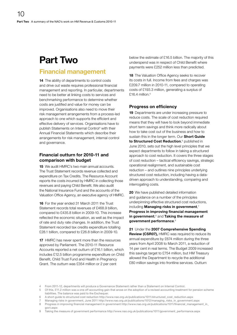# <span id="page-9-0"></span>Part Two

# Financial management

14 The ability of departments to control costs and drive out waste requires professional financial management and reporting. In particular, departments need to be better at linking costs to services and benchmarking performance to determine whether costs are justified and value for money can be improved. Organisations also need to move their risk management arrangements from a process-led approach to one which supports the efficient and effective delivery of services. Organisations have to publish Statements on Internal Control<sup>4</sup> with their Annual Financial Statements which describe their arrangements for risk management, internal control and governance.

### Financial outturn for 2010-11 and comparison with budget

**15** We audit HMRC's two main annual accounts. The Trust Statement records revenue collected and expenditure on Tax Credits. The Resource Account reports the costs incurred by HMRC in collecting those revenues and paying Child Benefit. We also audit the National Insurance Fund and the accounts of the Valuation Office Agency, an executive agency of HMRC.

16 For the year ended 31 March 2011 the Trust Statement records total revenues of £468.9 billion, compared to £435.8 billion in 2009-10. This increase reflected the economic situation, as well as the impact of rate and duty rate changes. In addition, the Trust Statement recorded tax credits expenditure totalling £28.1 billion, compared to £26.8 billion in 2009-10.

**17** HMRC has never spent more than the resources approved by Parliament. The 2010-11 Resource Accounts reported a net outturn of £16.1 billion, which includes £12.5 billion programme expenditure on Child Benefit, Child Trust Fund and Health in Pregnancy Grant. The outturn was £354 million or 2 per cent

below the estimate of £16.5 billion. The majority of this underspend was in respect of Child Benefit where payments were £252 million less than predicted.

18 The Valuation Office Agency seeks to recover its costs in full. Income from fees and charges was £209.7 million in 2010-11, compared to operating costs of £193.3 million, generating a surplus of £16.4 million. $5$ 

### Progress on efficiency

19 Departments are under increasing pressure to reduce costs. The scale of cost reduction required means that they will have to look beyond immediate short term savings and think more radically about how to take cost out of the business and how to sustain this in the longer term. Our **Short Guide** to Structured Cost Reduction,<sup>6</sup> published in June 2010, sets out the high level principles that we expect departments to follow in taking a structured approach to cost reduction. It covers the three stages of cost reduction – tactical efficiency savings, strategic operational realignment, and sustainable cost reduction – and outlines nine principles underlying structured cost reduction, including having a datadriven approach to understanding, comparing and interrogating costs.

20 We have published detailed information and guidance on a number of the principles underpinning effective structured cost reductions, including Managing risks in government,<sup>7</sup> Progress in improving financial management in government,<sup>8</sup> and Taking the measure of government performance.<sup>9</sup>

21 Under the 2007 Comprehensive Spending Review (CSR07), HMRC was required to reduce its annual expenditure by £674 million during the three years from April 2008 to March 2011, a reduction of 14 per cent in real terms. The Budget 2009 increased this savings target to £754 million, but HM Treasury allowed the Department to recycle the additional £80 million savings into frontline services. Outturn

- 4 From 2011-12, departments will produce a Governance Statement rather than a Statement on Internal Control.
- 5 Of this, £11.2 million was a one off accounting gain that arose on the adoption of a revised accounting treatment for pension scheme liabilities. The balance was paid to the Exchequer.
- 6 [A short guide to structured cost reduction http://www.nao.org.uk/publications/1011/structured\\_cost\\_reduction.aspx](http://www.nao.org.uk/publications/1011/structured_cost_reduction.aspx)
- 7 [Managing risks in government, June 2011 http://www.nao.org.uk/publications/1012/managing\\_risks\\_in\\_government.aspx](http://www.nao.org.uk/publications/1012/managing_risks_in_government.aspx)
- 8 [Progress in improving financial management in government http://www.nao.org.uk/publications/1011/financial\\_management\\_in\\_](http://www.nao.org.uk/publications/1011/financial_management_in_govt.aspx) [govt.aspx](http://www.nao.org.uk/publications/1011/financial_management_in_govt.aspx)
- 9 [Taking the measure of government performance http://www.nao.org.uk/publications/1011/government\\_performance.aspx](http://www.nao.org.uk/publications/1011/government_performance.aspx)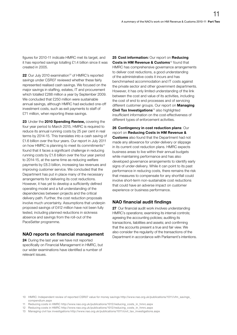figures for 2010-11 indicate HMRC met its target, and it has reported savings totalling £1.4 billion since it was created in 2005.

22 Our July 2010 examination<sup>10</sup> of HMRC's reported savings under CSR07 reviewed whether these fairly represented realised cash savings. We focused on the major savings in staffing, estates, IT and procurement which totalled £288 million a year by September 2009. We concluded that £250 million were sustainable annual savings, although HMRC had excluded one-off investment costs, such as exit payments to staff of £71 million, when reporting these savings.

23 Under the 2010 Spending Review, covering the four year period to March 2015, HMRC is required to reduce its annual running costs by 25 per cent in real terms by 2014-15. This translates into a cash saving of £1.6 billion over the four years. Our report in July 2011 on how HMRC is planning to meet its commitments<sup>11</sup> found that it faces a significant challenge in reducing running costs by £1.6 billion over the four year period to 2014-15, at the same time as reducing welfare payments by £8.3 billion, increasing tax revenues and improving customer service. We concluded that the Department has put in place many of the necessary arrangements for delivering its cost reductions. However, it has yet to develop a sufficiently defined operating model and a full understanding of the dependencies between projects and the critical delivery path. Further, the cost reduction proposals involve much uncertainty. Assumptions that underpin proposed savings of £412 million have not been fully tested, including planned reductions in sickness absence and savings from the roll-out of the PaceSetter programme.

# NAO reports on financial management

24 During the last year we have not reported specifically on Financial Management in HMRC, but our wider examinations have identified a number of relevant issues.

25 Cost information: Our report on Reducing Costs in HM Revenue & Customs<sup>12</sup> found that HMRC has comprehensive governance arrangements to deliver cost reductions, a good understanding of the administrative costs it incurs and has benchmarked accommodation and IT costs against the private sector and other government departments. However, it has only limited understanding of the link between the cost and value of its activities, including the cost of end to end processes and of servicing different customer groups. Our report on **Managing** Civil Tax Investigations<sup>13</sup> also highlighted insufficient information on the cost-effectiveness of different types of enforcement activities.

26 Contingency in cost reduction plans: Our report on Reducing Costs in HM Revenue & **Customs** also found that the Department had not made any allowance for under-delivery or slippage in its current cost reduction plans. HMRC expects business areas to live within their annual budgets while maintaining performance and has also developed governance arrangements to identify early signs of under-delivery. While it can point to its past performance in reducing costs, there remains the risk that measures to compensate for any shortfall could involve short-term non-sustainable cost reductions that could have an adverse impact on customer experience or business performance.

# NAO financial audit findings

27 Our financial audit work involves understanding HMRC's operations; examining its internal controls; agreeing the accounting policies; auditing its transactions, liabilities and assets; and confirming that the accounts present a true and fair view. We also consider the regularity of the transactions of the Department in accordance with Parliament's intentions.

<sup>10</sup> [HMRC: Independent review of reported CSR07 value for money savings http://www.nao.org.uk/publications/1011/vfm\\_savings\\_](http://www.nao.org.uk/publications/1011/vfm_savings_compendium.aspx) [compendium.aspx](http://www.nao.org.uk/publications/1011/vfm_savings_compendium.aspx)

<sup>11</sup> [Reducing costs in HMRC http://www.nao.org.uk/publications/1012/reducing\\_costs\\_in\\_hmrc.aspx](http://www.nao.org.uk/publications/1012/reducing_costs_in_hmrc.aspx)

<sup>12</sup> [Reducing costs in HMRC http://www.nao.org.uk/publications/1012/reducing\\_costs\\_in\\_hmrc.aspx](http://www.nao.org.uk/publications/1012/reducing_costs_in_hmrc.aspx )

<sup>13</sup> [Managing civil tax investigations http://www.nao.org.uk/publications/1011/civil\\_tax\\_investigations.aspx](http://www.nao.org.uk/publications/1011/civil_tax_investigations.aspx)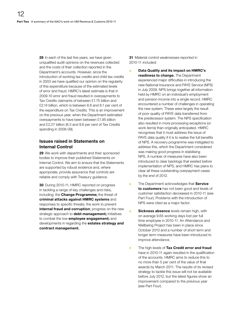28 In each of the last five years, we have given unqualified audit opinions on the revenues collected and the costs of their collection reported in the Department's accounts. However, since the introduction of working tax credits and child tax credits in 2003 we have qualified our opinion on the regularity of this expenditure because of the estimated levels of error and fraud. HMRC's latest estimate is that in 2009-10 error and fraud resulted in overpayments to Tax Credits claimants of between £1.75 billion and £2.14 billion, which is between 6.6 and 8.1 per cent of the expenditure on Tax Credits. This is an improvement on the previous year, when the Department estimated overpayments to have been between £1.95 billion and £2.27 billion (8.3 and 9.6 per cent of Tax Credits spending in 2008-09).

### Issues raised in Statements on Internal Control

29 We work with departments and their sponsored bodies to improve their published Statements on Internal Control. We aim to ensure that the Statements are supported by robust evidence and, where appropriate, provide assurance that controls are reliable and comply with Treasury guidance.

30 During 2010-11, HMRC reported on progress in tackling a range of key challenges and risks, including: the **Change Programme;** the threat of criminal attacks against HMRC systems and responses to specific threats; the work to prevent internal fraud and corruption; progress on the new strategic approach to debt management; initiatives to combat the low **employee engagement;** and developments in regarding the estates strategy and contract management.

31 Material control weaknesses reported in 2010-11 included:

Data Quality and its impact on HMRC's readiness to change. The Department experienced major difficulties in introducing the new National Insurance and PAYE Service (NPS) in July 2009. NPS brings together all information held by HMRC on an individual's employment and pension income into a single record. HMRC encountered a number of challenges in operating the new system. These were largely the result of poor quality of PAYE data transferred from the predecessor system. The NPS specification also resulted in more processing exceptions (or work items) than originally anticipated. HMRC recognises that it must address the issue of PAYE data quality if it is to realise the full benefits of NPS. A recovery programme was instigated to address this, which the Department considered was making good progress in stabilising NPS. A number of measures have also been introduced to clear backlogs that existed before implementation of NPS, and HMRC has plans to clear all these outstanding overpayment cases by the end of 2012.

- The Department acknowledges that Service to customers has not been good and levels of customer satisfaction decreased in 2010-11 (see Part Four). Problems with the introduction of NPS were cited as a major factor.
- Sickness absence levels remain high, with on average 9.65 working days lost per full time employee in 2010-11. An Attendance and Wellbeing Project has been in place since October 2010 and a number of short term and longer term measures have been introduced to improve attendance.
- The high levels of Tax Credit error and fraud have in 2010-11 again resulted in the qualification of the accounts. HMRC aims to reduce this to no more than 5 per cent of the value of final awards by March 2011. The results of its revised strategy to tackle this issue will not be available before July 2012, but the latest figures show an improvement compared to the previous year (see Part Four).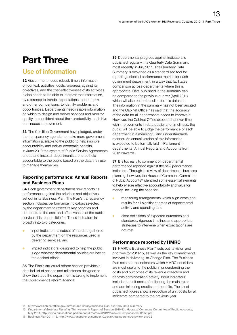# <span id="page-12-0"></span>Part Three

# Use of information

32 Government needs robust, timely information on context, activities, costs, progress against its objectives, and the cost-effectiveness of its activities. It also needs to be able to interpret that information, by reference to trends, expectations, benchmarks and other comparisons, to identify problems and opportunities. Departments need reliable information on which to design and deliver services and monitor quality, be confident about their productivity, and drive continuous improvement.

**33** The Coalition Government have pledged, under the transparency agenda, to make more government information available to the public to help improve accountability and deliver economic benefits. In June 2010 the system of Public Service Agreements ended and instead, departments are to be held accountable to the public based on the data they use to manage themselves.

# Reporting performance: Annual Reports and Business Plans

34 Each government department now reports its performance against the priorities and objectives set out in its Business Plan. The Plan's transparency section includes performance indicators selected by the department to reflect its key priorities and demonstrate the cost and effectiveness of the public services it is responsible for. These indicators fall broadly into two categories:

- **o** input indicators: a subset of the data gathered by the department on the resources used in delivering services; and
- **o** impact indicators: designed to help the public judge whether departmental policies are having the desired effect.

35 The Plan's structural reform section provides a detailed list of actions and milestones designed to show the steps the department is taking to implement the Government's reform agenda.

36 Departmental progress against indicators is published regularly in a Quarterly Data Summary, most recently in July 2011. The Quarterly Data Summary is designed as a standardised tool for reporting selected performance metrics for each government department, in a way that facilitates comparison across departments where this is appropriate. Data published in the summary can be compared to the previous quarter (April 2011) which will also be the baseline for this data set. The information in the summary has not been audited and the Cabinet Office has said that the accuracy of the data for all departments needs to improve.<sup>14</sup> However, the Cabinet Office expects that over time, with improvements in data quality and timeliness, the public will be able to judge the performance of each department in a meaningful and understandable manner. An annual version of this information is expected to be formally laid in Parliament in departments' Annual Reports and Accounts from 2012 onwards.

37 It is too early to comment on departmental performance reported against the new performance indicators. Through its review of departmental business planning, however, the House of Commons Committee of Public Accounts<sup>15</sup> identified some essential elements to help ensure effective accountability and value for money, including the need for:

- monitoring arrangements which align costs and results for all significant areas of departmental activity and spending; and
- <sup>O</sup> clear definitions of expected outcomes and standards, rigorous timelines and appropriate strategies to intervene when expectations are not met.

# Performance reported by HMRC

38 HMRC's Business Plan<sup>16</sup> sets out its vision and priorities for 2011-15, as well as the key commitments involved in delivering its Change Plan. The Business Plan sets out the indicators which HMRC considers are most useful to the public in understanding the costs and outcomes of its revenue collection and benefits administration activity. Input indicators include the unit costs of collecting the main taxes and administering credits and benefits. The latest published figures show a reduction of unit costs for all indicators compared to the previous year.

<sup>14</sup> <http://www.cabinetoffice.gov.uk/resource-library/business-plan-quarterly-data-summary>

<sup>15</sup> *Departmental Business Planning* [\(Thirty-seventh Report of Session 2010-12\), House of Commons Committee of Public Accounts,](http://www.publications.parliament.uk/pa/cm201012/cmselect/cmpubacc/650/650.pdf) 

[May 2011, http://www.publications.parliament.uk/pa/cm201012/cmselect/cmpubacc/650/650.pdf](http://www.publications.parliament.uk/pa/cm201012/cmselect/cmpubacc/650/650.pdf) 16 [Business Plan 2011–15, http://www.transparency.number10.gov.uk/transparency/srp/view-srp/32](http://www.transparency.number10.gov.uk/transparency/srp/view-srp/32)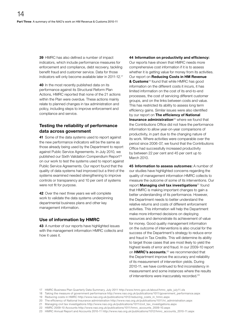39 HMRC has also defined a number of impact indicators, which include performance measures for enforcement and compliance, debt recovery, tackling benefit fraud and customer service. Data for those indicators will only become available later in 2011-12.<sup>17</sup>

40 In the most recently published data on its performance against its Structural Reform Plan Actions, HMRC reported that none of the 21 actions within the Plan were overdue. These actions mainly relate to planned changes in tax administration and policy, including steps to improve enforcement and compliance and service.

### Testing the reliability of performance data across government

41 Some of the data systems used to report against the new performance indicators will be the same as those already being used by the Department to report against Public Service Agreements. In July 2010, we published our Sixth Validation Compendium Report<sup>18</sup> on our work to test the systems used to report against Public Service Agreements. Our report found that the quality of data systems had improved but a third of the systems examined needed strengthening to improve controls or transparency and 10 per cent of systems were not fit for purpose.

42 Over the next three years we will complete work to validate the data systems underpinning departmental business plans and other key management information.

### Use of information by HMRC

43 A number of our reports have highlighted issues with the management information HMRC collects and how it uses it.

44 Information on productivity and efficiency: Our reports have shown that HMRC needs more comprehensive cost information if it is to assess whether it is getting value for money from its activities. Our report on Reducing Costs in HM Revenue & Customs<sup>19</sup> found that while HMRC has good information on the different costs it incurs, it has limited information on the cost of its end-to-end processes, the cost of servicing different customer groups, and on the links between costs and value. This has restricted its ability to assess long term efficiency gains. Similar issues were also identified by our report on The efficiency of National Insurance administration<sup>20</sup> where we found that the Contributions Office did not have the performance information to allow year-on-year comparisons of productivity, in part due to the changing nature of its work. Where activities were comparable over the period since 2006-07, we found that the Contributions Office had successfully increased productivity by between 22 per cent and 45 per cent up to March 2010.

45 Information to assess outcomes: A number of our studies have highlighted concerns regarding the quality of management information HMRC collects to measure the outcome of some of its interventions. Our report Managing civil tax investigations<sup>21</sup> found that HMRC is making important changes to gain a better understanding of its performance. However, the Department needs to better understand the relative returns and costs of different enforcement activities. This information will help the Department make more informed decisions on deploying resources and demonstrate its achievement of value for money. Good quality management information on the outcome of interventions is also crucial for the success of the Department's strategy to reduce error and fraud in Tax Credits. This will determine its ability to target those cases that are most likely to yield the highest levels of error and fraud. In our 2009-10 report on **HMRC's accounts**,<sup>22</sup> we recommended that the Department improve the accuracy and reliability of its measurement of intervention yields. During 2010-11, we have continued to find inconsistency in measurement and some instances where the results of interventions were inaccurately recorded.<sup>23</sup>

<sup>17</sup> [HMRC Business Plan Quarterly Data Summary, July 2011 http://www.hmrc.gov.uk/about/hmrc\\_qds\\_july11.xls](http://www.hmrc.gov.uk/about/hmrc_qds_july11.xls)

<sup>18</sup> [Taking the measure of government performance http://www.nao.org.uk/publications/1011/government\\_performance.aspx](http://www.nao.org.uk/publications/1011/government_performance.aspx)

<sup>19</sup> [Reducing costs in HMRC http://www.nao.org.uk/publications/1012/reducing\\_costs\\_in\\_hmrc.aspx](http://www.nao.org.uk/publications/1012/reducing_costs_in_hmrc.aspx)

<sup>20</sup> [The efficiency of National Insurance administration http://www.nao.org.uk/publications/1011/ni\\_administration.aspx](http://www.nao.org.uk/publications/1011/ni_administration.aspx)

<sup>21</sup> [Managing civil tax investigations http://www.nao.org.uk/publications/1011/civil\\_tax\\_investigations.aspx](http://www.nao.org.uk/publications/1011/civil_tax_investigations.aspx)

<sup>22</sup> [HMRC 2009-10 Accounts http://www.nao.org.uk/publications/1011/hmrc\\_accounts\\_2009-10.aspx](http://www.nao.org.uk/publications/1011/hmrc_accounts_2009-10.aspx)

<sup>23</sup> [HMRC Annual Report and Accounts 2010-11 http://www.nao.org.uk/publications/1012/hmrc\\_accounts\\_2010-11.aspx](http://www.nao.org.uk/publications/1012/hmrc_accounts_2010-11.aspx)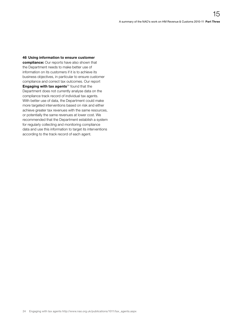#### 46 Using information to ensure customer

compliance: Our reports have also shown that the Department needs to make better use of information on its customers if it is to achieve its business objectives, in particular to ensure customer compliance and correct tax outcomes. Our report **Engaging with tax agents** $24$  found that the Department does not currently analyse data on the compliance track record of individual tax agents. With better use of data, the Department could make more targeted interventions based on risk and either achieve greater tax revenues with the same resources, or potentially the same revenues at lower cost. We recommended that the Department establish a system for regularly collecting and monitoring compliance data and use this information to target its interventions according to the track record of each agent.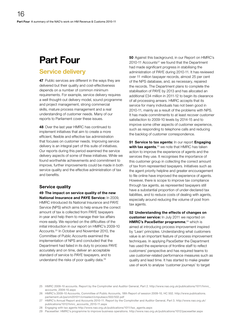# <span id="page-15-0"></span>Part Four

# Service delivery

47 Public services are different in the ways they are delivered but their quality and cost-effectiveness depends on a number of common minimum requirements. For example, service delivery requires a well thought-out delivery model, sound programme and project management, strong commercial skills, mature process management and a real understanding of customer needs. Many of our reports to Parliament cover these issues.

48 Over the last year HMRC has continued to implement initiatives that aim to create a more efficient, flexible and effective tax administration that focuses on customer needs. Improving service delivery is an integral part of this suite of initiatives. Our reports during this period examined the service delivery aspects of some of these initiatives. While we found worthwhile achievements and commitment to improve, further improvements could be made in both service quality and the effective administration of tax and benefits.

#### Service quality

49 The impact on service quality of the new National Insurance and PAYE Service: In 2009, HMRC introduced its National Insurance and PAYE Service (NPS) which aims to help ensure the correct amount of tax is collected from PAYE taxpayers in-year and help them to manage their tax affairs more easily. We reported on the difficulties of the initial introduction in our report on HMRC's 2009-10 Accounts.25 In October and November 2010, the Committee of Public Accounts examined the implementation of NPS and concluded that the Department had failed in its duty to process PAYE accurately and on time, deliver an acceptable standard of service to PAYE taxpayers, and to understand the risks of poor quality data.<sup>26</sup>

50 Against this background, in our Report on HMRC's  $2010-11$  Accounts<sup>27</sup> we found that the Department had made significant progress in stabilising the administration of PAYE during 2010-11. It has reviewed over 11 million taxpayer records, almost 25 per cent of the NPS database, and, as necessary, repaired the records. The Department plans to complete the stabilisation of PAYE by 2013 and has allocated an additional £34 million in 2011-12 to begin its clearance of all processing arrears. HMRC accepts that its service for many individuals has not been good in 2010-11, mainly as a result of the problems with NPS. It has made commitments to at least recover customer satisfaction to 2009-10 levels by 2014-15 and to improve some other aspects of customer experience, such as responding to telephone calls and reducing the backlog of customer correspondence.

51 Service to tax agents: In our report Engaging with tax agents,<sup>28</sup> we note that HMRC has taken action to improve the experience of agents and the services they use. It recognises the importance of this customer group in collecting the correct amount of tax from represented taxpayers. Initiatives such as the agent priority helpline and greater encouragement to file online have improved the experience of agents. However, there is scope to improve tax compliance through tax agents, as represented taxpayers still have a substantial proportion of under-declared tax liabilities, and to reduce costs of dealing with agents, especially around reducing the volume of post from tax agents.

52 Understanding the effects of changes on customer service: In July 2011 we reported on HMRC's PaceSetter programme, <sup>29</sup> which is aimed at introducing process improvement inspired by 'Lean' principles. Understanding what customers value is an important feature of process improvement techniques. In applying PaceSetter the Department has used the experience of frontline staff to reflect customers' perspective and has required teams to use customer-related performance measures such as quality and lead time. It has started to make greater use of work to analyse 'customer journeys' to target

<sup>25</sup> HMRC 2009-10 accounts. Report by the Comptroller and Auditor General, Part 2. [http://www.nao.org.uk/publications/1011/hmrc\\_](http://www.nao.org.uk/publications/1011/hmrc_accounts_2009-10.aspx) [accounts\\_2009-10.aspx](http://www.nao.org.uk/publications/1011/hmrc_accounts_2009-10.aspx)

<sup>26</sup> [HMRC's 2009-10 Accounts, Committee of Public Accounts, 18th Report of session 2009-10, HC 502. http://www.publications.](http://www.publications.parliament.uk/pa/cm201011/cmselect/cmpubacc/502/502.pdf) [parliament.uk/pa/cm201011/cmselect/cmpubacc/502/502.pdf](http://www.publications.parliament.uk/pa/cm201011/cmselect/cmpubacc/502/502.pdf)

<sup>27</sup> HMRC's Annual Report and Accounts 2010-11. Report by the Comptroller and Auditor General, Part 3. [http://www.nao.org.uk/](http://www.nao.org.uk/publications/1012/hmrc_accounts_2010-11.aspx) [publications/1012/hmrc\\_accounts\\_2010-11.aspx](http://www.nao.org.uk/publications/1012/hmrc_accounts_2010-11.aspx)

<sup>28</sup> [Engaging with tax agents http://www.nao.org.uk/publications/1011/tax\\_agents.aspx](http://www.nao.org.uk/publications/1011/tax_agents.aspx)

<sup>29</sup> [Pacesetter: HMRC's programme to improve business operations. http://www.nao.org.uk/publications/1012/pacesetter.aspx](http://www.nao.org.uk/publications/1012/pacesetter.aspx)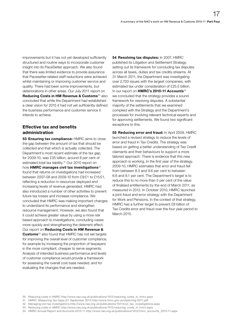improvements but it has not yet developed sufficiently structured and routine ways to incorporate customer insight into its PaceSetter approach. We also found that there was limited evidence to provide assurance that Pacesetter-related staff reductions were achieved whilst maintaining or improving customer service and quality. There had been some improvements, but deteriorations in other areas. Our July 2011 report on Reducing Costs in HM Revenue & Customs<sup>30</sup> also concluded that while the Department had established a clear vision for 2015 it had not yet sufficiently defined the business performance and customer service it intends to achieve.

### Effective tax and benefits administration

53 Ensuring tax compliance: HMRC aims to close the gap between the amount of tax that should be collected and that which is actually collected. The Department's most recent estimate of the tax gap, for 2009-10, was £35 billion, around 8 per cent of estimated total tax liability.31 Our 2010 report on how HMRC manages civil tax investigations<sup>32</sup> found that returns on investigations had increased between 2007-08 and 2009-10 from £9:£1 to £15:£1, reflecting a reduction in resources deployed and increasing levels of revenue generated. HMRC had also introduced a number of other activities to prevent future tax losses and increase compliance. We concluded that HMRC was making important changes to understand its performance and strengthen resource management. However, we also found that it could achieve greater value by using a more risk based approach to investigations, concluding cases more quickly and strengthening the deterrent effect. Our report on Reducing Costs in HM Revenue & Customs<sup>33</sup> also found that HMRC has not set targets for improving the overall level of customer compliance, for example by increasing the proportion of taxpayers in the more compliant, cheaper to serve segments. Analysis of intended business performance and levels of customer compliance would provide a framework for assessing the overall cost base needed, and for evaluating the changes that are needed.

54 Resolving tax disputes: In 2007, HMRC published its Litigation and Settlement Strategy, setting out its framework for concluding tax disputes across all taxes, duties and tax credits streams. At 31 March 2011, the Department was investigating over 2,700 issues with the largest companies, with estimated tax under consideration of £25.5 billion. In our report on HMRC's 2010-11 Accounts<sup>34</sup> we concluded that the strategy provides a sound framework for resolving disputes. A substantial majority of the settlements that we examined complied with the Strategy and the Department's processes for involving relevant technical experts and for approving settlements. We found two significant exceptions to this.

55 Reducing error and fraud: In April 2009, HMRC launched a revised strategy to reduce the levels of error and fraud in Tax Credits. The strategy was based on getting a better understanding of Tax Credit claimants and their behaviours to support a more tailored approach. There is evidence that this new approach is working. In the first year of the strategy, 2009-10, HMRC estimates that error and fraud fell from between 8.3 and 9.6 per cent to between 6.6 and 8.1 per cent. The Department's target is to reduce this to no more than 5 per cent of the value of finalised entitlements by the end of March 2011, as measured in 2012. In October 2010, HMRC launched a joint fraud and error strategy with the Department for Work and Pensions. In the context of that strategy, HMRC has a further target to prevent £8 billion of Tax Credits error and fraud over the four year period to March 2015.

- 30 [Reducing costs in HMRC http://www.nao.org.uk/publications/1012/reducing\\_costs\\_in\\_hmrc.aspx](http://www.nao.org.uk/publications/1012/reducing_costs_in_hmrc.aspx)
- 31 [HMRC: Measuring Tax Gaps \(21 September 2011\) http://www.hmrc.gov.uk/stats/mtg-2011.pdf](http://www.hmrc.gov.uk/stats/mtg-2011.pdf)
- 32 [Managing civil tax investigations http://www.nao.org.uk/publications/1011/civil\\_tax\\_investigations.aspx](http://www.nao.org.uk/publications/1011/civil_tax_investigations.aspx)
- 33 [Reducing costs in HMRC http://www.nao.org.uk/publications/1012/reducing\\_costs\\_in\\_hmrc.aspx](http://www.nao.org.uk/publications/1012/reducing_costs_in_hmrc.aspx)
- 34 [HMRC Annual Report and Accounts 2010-11 http://www.nao.org.uk/publications/1012/hmrc\\_accounts\\_2010-11.aspx](http://www.nao.org.uk/publications/1012/hmrc_accounts_2010-11.aspx)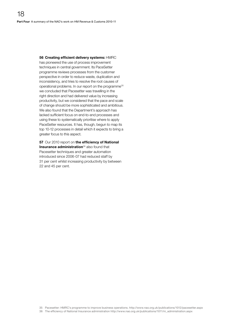56 Creating efficient delivery systems: HMRC has pioneered the use of process improvement techniques in central government. Its PaceSetter programme reviews processes from the customer perspective in order to reduce waste, duplication and inconsistency, and tries to resolve the root causes of operational problems. In our report on the programme<sup>35</sup> we concluded that Pacesetter was travelling in the right direction and had delivered value by increasing productivity, but we considered that the pace and scale of change should be more sophisticated and ambitious. We also found that the Department's approach has lacked sufficient focus on end-to-end processes and using these to systematically prioritise where to apply PaceSetter resources. It has, though, begun to map its top 10-12 processes in detail which it expects to bring a greater focus to this aspect.

57 Our 2010 report on the efficiency of National Insurance administration<sup>36</sup> also found that Pacesetter techniques and greater automation introduced since 2006-07 had reduced staff by 31 per cent whilst increasing productivity by between 22 and 45 per cent.

35 [Pacesetter: HMRC's programme to improve business operations. http://www.nao.org.uk/publications/1012/pacesetter.aspx](http://www.nao.org.uk/publications/1012/pacesetter.aspx)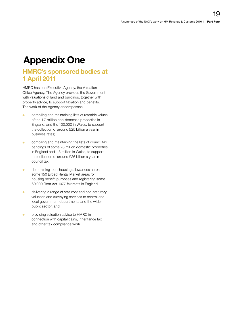# <span id="page-18-0"></span>Appendix One

# HMRC's sponsored bodies at 1 April 2011

HMRC has one Executive Agency, the Valuation Office Agency. The Agency provides the Government with valuations of land and buildings, together with property advice, to support taxation and benefits. The work of the Agency encompasses:

- <sup>O</sup> compiling and maintaining lists of rateable values of the 1.7 million non-domestic properties in England, and the 100,000 in Wales, to support the collection of around £25 billion a year in business rates;
- **Compiling and maintaining the lists of council tax** bandings of some 23 million domestic properties in England and 1.3 million in Wales, to support the collection of around £26 billion a year in council tax;
- **o** determining local housing allowances across some 150 Broad Rental Market areas for housing benefit purposes and registering some 60,000 Rent Act 1977 fair rents in England;
- **o** delivering a range of statutory and non-statutory valuation and surveying services to central and local government departments and the wider public sector; and
- **•** providing valuation advice to HMRC in connection with capital gains, inheritance tax and other tax compliance work.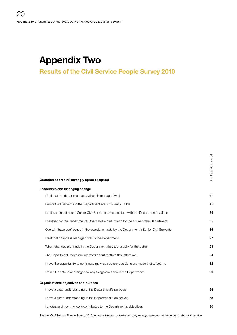# <span id="page-19-0"></span>Appendix Two

# Results of the Civil Service People Survey 2010

|                                                                                            | ශී    |
|--------------------------------------------------------------------------------------------|-------|
| Question scores (% strongly agree or agree)                                                | Civil |
| Leadership and managing change                                                             |       |
| I feel that the department as a whole is managed well                                      | 41    |
| Senior Civil Servants in the Department are sufficiently visible                           | 45    |
| I believe the actions of Senior Civil Servants are consistent with the Department's values | 39    |
| I believe that the Departmental Board has a clear vision for the future of the Department  | 35    |
| Overall, I have confidence in the decisions made by the Department's Senior Civil Servants | 36    |
| I feel that change is managed well in the Department                                       | 27    |
| When changes are made in the Department they are usually for the better                    | 23    |
| The Department keeps me informed about matters that affect me                              | 54    |
| I have the opportunity to contribute my views before decisions are made that affect me     | 32    |
| I think it is safe to challenge the way things are done in the Department                  | 39    |
| Organisational objectives and purpose                                                      |       |
| I have a clear understanding of the Department's purpose                                   | 84    |
| I have a clear understanding of the Department's objectives                                | 78    |
| I understand how my work contributes to the Department's objectives                        | 80    |
|                                                                                            |       |

 $\equiv$ 

*Source: Civil Service People Survey 2010, www.civilservice.gov.uk/about/improving/employee-engagement-in-the-civil-service*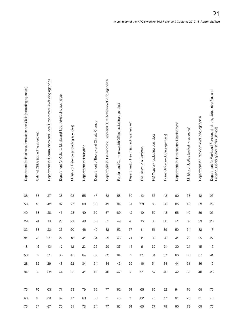| Department for Business, Innovation and Skills (excluding agencies) | Cabinet Office (excluding agencies) | Department for Communities and Local Government (excluding agencies) | Department for Culture, Media and Sport (excluding agencies) | Ministry of Defence (excluding agencies)<br>Department for Education | Department of Energy and Climate Change | Department for Ervironment, Food and Rural Affairs (excluding agencies) | Foreign and Commonwealth Office (excluding agencies) | Department of Health (excluding agencies) | HM Revenue & Customs | HM Treasury (excluding agencies) | Home Office (excluding agencies) | Department for International Development | Ministry of Justice (excluding agencies) | Department for Transport (excluding agencies) | Department for Work and Pensions (including Jobcentre Plus and<br>$\widehat{\Phi}$<br>ability and Carers Servic<br>sion, Di<br>neg<br>P |
|---------------------------------------------------------------------|-------------------------------------|----------------------------------------------------------------------|--------------------------------------------------------------|----------------------------------------------------------------------|-----------------------------------------|-------------------------------------------------------------------------|------------------------------------------------------|-------------------------------------------|----------------------|----------------------------------|----------------------------------|------------------------------------------|------------------------------------------|-----------------------------------------------|-----------------------------------------------------------------------------------------------------------------------------------------|
| $38\,$                                                              | 33                                  | 27                                                                   | 38                                                           | $23\,$<br>55                                                         | 47                                      | 38                                                                      | 58                                                   | 39                                        | 12                   | 56                               | 43                               | 60                                       | $38\,$                                   | 42                                            | 25                                                                                                                                      |
| 50                                                                  | 48                                  | $42\,$                                                               | 62<br>27                                                     | 60                                                                   | 68                                      | 49                                                                      | 64                                                   | 51                                        | $23\,$               | 68                               | 50                               | 65                                       | $46\,$                                   | 53                                            | $25\,$                                                                                                                                  |
| 40                                                                  | 38                                  | 28                                                                   | 43                                                           | $28\,$<br>49                                                         | 52                                      | $37\,$                                                                  | 60                                                   | 42                                        | 19                   | 52                               | 43                               | 56                                       | 40                                       | 39                                            | $23\,$                                                                                                                                  |
| 29                                                                  | 24                                  | 19                                                                   | 25<br>21                                                     | 40                                                                   | $35\,$                                  | 31                                                                      | 49                                                   | 28                                        | 15                   | 35                               | 30                               | 51                                       | 32                                       | 29                                            | $20\,$                                                                                                                                  |
| $33\,$                                                              | 33                                  | 23                                                                   | 33                                                           | 20<br>46                                                             | 49                                      | 32                                                                      | 52                                                   | 37                                        | 11                   | 51                               | 39                               | 50                                       | 34                                       | 32                                            | 17                                                                                                                                      |
| 31                                                                  | 20                                  | 21                                                                   | 29                                                           | $16$<br>41                                                           | 31                                      | 29                                                                      | 45                                                   | 21                                        | 11                   | 35                               | 26                               | 41                                       | 27                                       | 25                                            | 22                                                                                                                                      |
| 18                                                                  | 15                                  | 13                                                                   | 12                                                           | 12<br>23                                                             | $25\,$                                  | 20                                                                      | 37                                                   | 14                                        | 9                    | 32                               | 21                               | $30\,$                                   | 24                                       | 15                                            | 15                                                                                                                                      |
| 58                                                                  | 52                                  | 51                                                                   | 68                                                           | 45<br>64                                                             | 69                                      | 62                                                                      | 64                                                   | 52                                        | 31                   | 64                               | 57                               | 66                                       | 53                                       | 57                                            | - 41                                                                                                                                    |
| 28                                                                  | 32                                  | 29                                                                   | 48                                                           | 22<br>34                                                             | 34                                      | 34                                                                      | 43                                                   | 29                                        | 16                   | 54                               | 34                               | 44                                       | 31                                       | 36                                            | 19                                                                                                                                      |
| 34                                                                  | 38                                  | 32                                                                   | 35<br>44                                                     | 41                                                                   | 45                                      |                                                                         | 40 47                                                |                                           | 33 21                | 57                               | 40                               | 42                                       | 37                                       | 40                                            | 28                                                                                                                                      |
|                                                                     |                                     |                                                                      |                                                              |                                                                      |                                         |                                                                         |                                                      |                                           |                      |                                  |                                  |                                          |                                          |                                               |                                                                                                                                         |
| 75                                                                  | 70                                  | 63                                                                   | 83<br>71                                                     | 79                                                                   | 89                                      | 77                                                                      | 82                                                   | 74                                        | 65                   | 85                               | 82                               | 94                                       | 76                                       | 68                                            | 76                                                                                                                                      |
| 68                                                                  | 58                                  | 59                                                                   | 67<br>77                                                     | 69                                                                   | 83                                      |                                                                         | 71 79                                                | 69                                        | 62                   | 79                               | 77                               | 91                                       | 70                                       | 61                                            | 73                                                                                                                                      |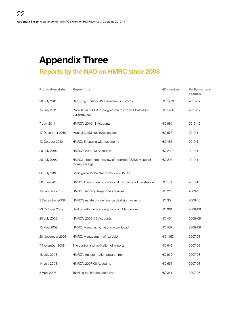# <span id="page-21-0"></span>Appendix Three

# Reports by the NAO on HMRC since 2008

| <b>Publication date</b> | <b>Report title</b>                                                   | <b>HC</b> number | Parliamentary<br>session |
|-------------------------|-----------------------------------------------------------------------|------------------|--------------------------|
| 20 July 2011            | Reducing costs in HM Revenue & Customs                                | <b>HC 1278</b>   | 2010-12                  |
| 15 July 2011            | PaceSetter: HMRC's programme to improve business<br>performance       | HC 1280          | 2010-12                  |
| 7 July 2011             | HMRC's 2010-11 Accounts                                               | <b>HC 981</b>    | 2010-12                  |
| 17 December 2010        | Managing civil tax investigations                                     | <b>HC 677</b>    | 2010-11                  |
| 13 October 2010         | HMRC: Engaging with tax agents                                        | <b>HC 486</b>    | 2010-11                  |
| 20 July 2010            | HMRC's 2009-10 Accounts                                               | HC 299           | 2010-11                  |
| 20 July 2010            | HMRC: Independent review of reported CSR07 value for<br>money savings | <b>HC 293</b>    | 2010-11                  |
| 06 July 2010            | Short guide to the NAO's work on HMRC                                 |                  |                          |
| 30 June 2010            | HMRC: The efficiency of National Insurance administration             | <b>HC 184</b>    | 2010-11                  |
| 15 January 2010         | HMRC: Handling telephone enquiries                                    | <b>HC 211</b>    | 2009-10                  |
| 3 December 2009         | HMRC's estate private finance deal eight years on                     | HC 30            | 2009-10                  |
| 23 October 2009         | Dealing with the tax obligations of older people                      | <b>HC 961</b>    | 2008-09                  |
| 20 July 2009            | HMRC's 2008-09 Accounts                                               | <b>HC 464</b>    | 2008-09                  |
| 15 May 2009             | HMRC: Managing variations in workload                                 | HC 507           | 2008-09                  |
| 20 November 2008        | HMRC: Management of tax debt                                          | HC 1152          | 2007-08                  |
| 7 November 2008         | The control and facilitation of imports                               | <b>HC 942</b>    | 2007-08                  |
| 18 July 2008            | HMRC's transformation programme                                       | <b>HC 930</b>    | 2007-08                  |
| 14 July 2008            | HMRC's 2007-08 Accounts                                               | <b>HC 674</b>    | 2007-08                  |
| 3 April 2008            | Tackling the hidden economy                                           | <b>HC 341</b>    | 2007-08                  |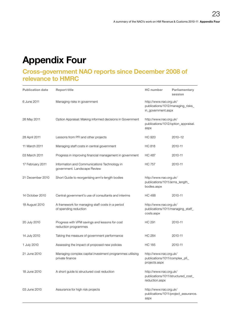# <span id="page-22-0"></span>Appendix Four

# Cross-government NAO reports since December 2008 of relevance to HMRC

| <b>Publication date</b> | <b>Report title</b>                                                          | <b>HC</b> number                                                                  | Parliamentary<br>session             |
|-------------------------|------------------------------------------------------------------------------|-----------------------------------------------------------------------------------|--------------------------------------|
| 6 June 2011             | Managing risks in government                                                 | http://www.nao.org.uk/<br>publications/1012/managing_risks_<br>in_government.aspx |                                      |
| 26 May 2011             | Option Appraisal: Making informed decisions in Government                    | http://www.nao.org.uk/<br>publications/1012/option_appraisal.<br>aspx             |                                      |
| 28 April 2011           | Lessons from PFI and other projects                                          | HC 920                                                                            | 2010-12                              |
| 11 March 2011           | Managing staff costs in central government                                   | HC 818                                                                            | 2010-11                              |
| 03 March 2011           | Progress in improving financial management in government                     | <b>HC 487</b>                                                                     | 2010-11                              |
| 17 February 2011        | Information and Communications Technology in<br>government. Landscape Review | <b>HC 757</b>                                                                     | 2010-11                              |
| 21 December 2010        | Short Guide to reorganising arm's-length bodies                              | http://www.nao.org.uk/<br>publications/1011/arms_length_<br>bodies.aspx           |                                      |
| 14 October 2010         | Central government's use of consultants and interims                         | HC 488                                                                            | 2010-11                              |
| 18 August 2010          | A framework for managing staff costs in a period<br>of spending reduction    | http://www.nao.org.uk/<br>publications/1011/managing_staff_<br>costs.aspx         |                                      |
| 20 July 2010            | Progress with VFM savings and lessons for cost<br>reduction programmes       | <b>HC 291</b>                                                                     | 2010-11                              |
| 14 July 2010            | Taking the measure of government performance                                 | <b>HC 284</b>                                                                     | 2010-11                              |
| 1 July 2010             | Assessing the impact of proposed new policies                                | <b>HC 185</b>                                                                     | 2010-11                              |
| 21 June 2010            | Managing complex capital investment programmes utilising<br>private finance  | http://www.nao.org.uk/<br>publications/1011/complex_pfi_<br>projects.aspx         |                                      |
| 18 June 2010            | A short quide to structured cost reduction                                   | http://www.nao.org.uk/<br>publications/1011/structured cost<br>reduction.aspx     |                                      |
| 03 June 2010            | Assurance for high risk projects                                             | http://www.nao.org.uk/<br>aspx                                                    | publications/1011/project_assurance. |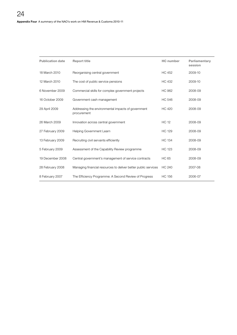| <b>Publication date</b> | <b>Report title</b>                                               | <b>HC</b> number | Parliamentary<br>session |
|-------------------------|-------------------------------------------------------------------|------------------|--------------------------|
| 18 March 2010           | Reorganising central government                                   | <b>HC 452</b>    | 2009-10                  |
| 12 March 2010           | The cost of public service pensions                               | <b>HC 432</b>    | 2009-10                  |
| 6 November 2009         | Commercial skills for complex government projects                 | <b>HC 962</b>    | 2008-09                  |
| 16 October 2009         | Government cash management                                        | <b>HC 546</b>    | 2008-09                  |
| 29 April 2009           | Addressing the environmental impacts of government<br>procurement | <b>HC 420</b>    | 2008-09                  |
| 26 March 2009           | Innovation across central government                              | <b>HC 12</b>     | 2008-09                  |
| 27 February 2009        | Helping Government Learn                                          | <b>HC 129</b>    | 2008-09                  |
| 13 February 2009        | Recruiting civil servants efficiently                             | <b>HC 134</b>    | 2008-09                  |
| 5 February 2009         | Assessment of the Capability Review programme                     | <b>HC 123</b>    | 2008-09                  |
| 19 December 2008        | Central government's management of service contracts              | <b>HC 65</b>     | 2008-09                  |
| 28 February 2008        | Managing financial resources to deliver better public services    | <b>HC 240</b>    | 2007-08                  |
| 8 February 2007         | The Efficiency Programme: A Second Review of Progress             | <b>HC 156</b>    | 2006-07                  |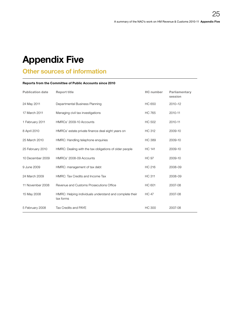# <span id="page-24-0"></span>Appendix Five

# Other sources of information

#### Reports from the Committee of Public Accounts since 2010

| <b>Publication date</b> | <b>Report title</b>                                                  | <b>HC</b> number | Parliamentary<br>session |
|-------------------------|----------------------------------------------------------------------|------------------|--------------------------|
| 24 May 2011             | Departmental Business Planning                                       | <b>HC 650</b>    | $2010 - 12$              |
| 17 March 2011           | Managing civil tax investigations                                    | <b>HC 765</b>    | 2010-11                  |
| 1 February 2011         | HMRCs' 2009-10 Accounts                                              | <b>HC 502</b>    | 2010-11                  |
| 8 April 2010            | HMRCs' estate private finance deal eight years on                    | <b>HC 312</b>    | 2009-10                  |
| 25 March 2010           | HMRC: Handling telephone enquiries                                   | <b>HC 389</b>    | 2009-10                  |
| 25 February 2010        | HMRC: Dealing with the tax obligations of older people               | <b>HC 141</b>    | 2009-10                  |
| 10 December 2009        | HMRCs' 2008-09 Accounts                                              | <b>HC 97</b>     | 2009-10                  |
| 9 June 2009             | HMRC: management of tax debt                                         | <b>HC 216</b>    | 2008-09                  |
| 24 March 2009           | HMRC: Tax Credits and Income Tax                                     | <b>HC 311</b>    | 2008-09                  |
| 11 November 2008        | Revenue and Customs Prosecutions Office                              | <b>HC 601</b>    | 2007-08                  |
| 15 May 2008             | HMRC: Helping individuals understand and complete their<br>tax forms | <b>HC 47</b>     | 2007-08                  |
| 5 February 2008         | Tax Credits and PAYE                                                 | <b>HC 300</b>    | 2007-08                  |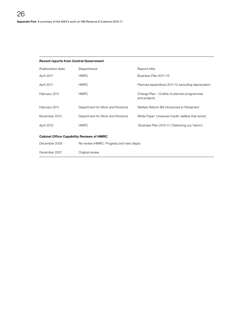|  |  | <b>Recent reports from Central Government</b> |
|--|--|-----------------------------------------------|
|  |  |                                               |

| <b>Publication date</b>                          | Department                                | <b>Report title</b>                                         |
|--------------------------------------------------|-------------------------------------------|-------------------------------------------------------------|
| April 2011                                       | <b>HMRC</b>                               | Business Plan 2011-15                                       |
| April 2011                                       | <b>HMRC</b>                               | Planned expenditure 2011-12 excluding depreciation          |
| February 2011                                    | <b>HMRC</b>                               | Change Plan – Outline of planned programmes<br>and projects |
| February 2011                                    | Department for Work and Pensions          | Welfare Reform Bill introduced to Parliament                |
| November 2010                                    | Department for Work and Pensions          | White Paper 'Universal Credit: welfare that works'          |
| April 2010                                       | <b>HMRC</b>                               | Business Plan 2010-11 ('Delivering our Vision')             |
| <b>Cabinet Office Capability Reviews of HMRC</b> |                                           |                                                             |
| December 2009                                    | Re-review (HMRC: Progress and next steps) |                                                             |
| December 2007                                    | Original review                           |                                                             |